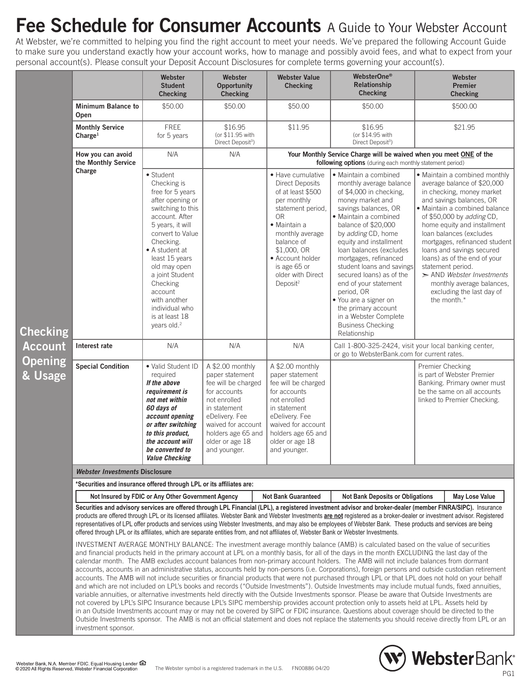## **Fee Schedule for Consumer Accounts** A Guide to Your Webster Account

At Webster, we're committed to helping you find the right account to meet your needs. We've prepared the following Account Guide to make sure you understand exactly how your account works, how to manage and possibly avoid fees, and what to expect from your personal account(s). Please consult your Deposit Account Disclosures for complete terms governing your account(s).

|            |                                                                                                                                                                                                                                                                                                                                                                                                                                                                                                                                                                                                                                                                                                                                                                                                                                                                                                                                                                                                                                                                                                                                                                                                                                                                                                                                                                                                                                                                                                                                                                                                                                                                                                                                                                                                                                                                                                                                                                                                                                                                                                                                                              | Webster                                                                                                                                                                                                                                                                                                                                   | Webster                                                                                                                                                                                                     | <b>Webster Value</b>                                                                                                                                                                                                                                                    | WebsterOne®                                                                                                                                                                                                                                                                                                                                                                                                                                                                                      | Webster                                                                                                                                                                                                                                                                                                                                                                                                                                                                     |  |  |  |  |
|------------|--------------------------------------------------------------------------------------------------------------------------------------------------------------------------------------------------------------------------------------------------------------------------------------------------------------------------------------------------------------------------------------------------------------------------------------------------------------------------------------------------------------------------------------------------------------------------------------------------------------------------------------------------------------------------------------------------------------------------------------------------------------------------------------------------------------------------------------------------------------------------------------------------------------------------------------------------------------------------------------------------------------------------------------------------------------------------------------------------------------------------------------------------------------------------------------------------------------------------------------------------------------------------------------------------------------------------------------------------------------------------------------------------------------------------------------------------------------------------------------------------------------------------------------------------------------------------------------------------------------------------------------------------------------------------------------------------------------------------------------------------------------------------------------------------------------------------------------------------------------------------------------------------------------------------------------------------------------------------------------------------------------------------------------------------------------------------------------------------------------------------------------------------------------|-------------------------------------------------------------------------------------------------------------------------------------------------------------------------------------------------------------------------------------------------------------------------------------------------------------------------------------------|-------------------------------------------------------------------------------------------------------------------------------------------------------------------------------------------------------------|-------------------------------------------------------------------------------------------------------------------------------------------------------------------------------------------------------------------------------------------------------------------------|--------------------------------------------------------------------------------------------------------------------------------------------------------------------------------------------------------------------------------------------------------------------------------------------------------------------------------------------------------------------------------------------------------------------------------------------------------------------------------------------------|-----------------------------------------------------------------------------------------------------------------------------------------------------------------------------------------------------------------------------------------------------------------------------------------------------------------------------------------------------------------------------------------------------------------------------------------------------------------------------|--|--|--|--|
| $i$ ng     |                                                                                                                                                                                                                                                                                                                                                                                                                                                                                                                                                                                                                                                                                                                                                                                                                                                                                                                                                                                                                                                                                                                                                                                                                                                                                                                                                                                                                                                                                                                                                                                                                                                                                                                                                                                                                                                                                                                                                                                                                                                                                                                                                              | <b>Student</b><br><b>Checking</b>                                                                                                                                                                                                                                                                                                         | <b>Opportunity</b><br><b>Checking</b>                                                                                                                                                                       | <b>Checking</b>                                                                                                                                                                                                                                                         | Relationship<br><b>Checking</b>                                                                                                                                                                                                                                                                                                                                                                                                                                                                  | <b>Premier</b><br><b>Checking</b>                                                                                                                                                                                                                                                                                                                                                                                                                                           |  |  |  |  |
|            | <b>Minimum Balance to</b><br>Open                                                                                                                                                                                                                                                                                                                                                                                                                                                                                                                                                                                                                                                                                                                                                                                                                                                                                                                                                                                                                                                                                                                                                                                                                                                                                                                                                                                                                                                                                                                                                                                                                                                                                                                                                                                                                                                                                                                                                                                                                                                                                                                            | \$50.00                                                                                                                                                                                                                                                                                                                                   | \$50.00                                                                                                                                                                                                     | \$50.00                                                                                                                                                                                                                                                                 | \$50.00                                                                                                                                                                                                                                                                                                                                                                                                                                                                                          | \$500.00                                                                                                                                                                                                                                                                                                                                                                                                                                                                    |  |  |  |  |
|            | <b>Monthly Service</b><br>Charge <sup>1</sup>                                                                                                                                                                                                                                                                                                                                                                                                                                                                                                                                                                                                                                                                                                                                                                                                                                                                                                                                                                                                                                                                                                                                                                                                                                                                                                                                                                                                                                                                                                                                                                                                                                                                                                                                                                                                                                                                                                                                                                                                                                                                                                                | <b>FREE</b><br>for 5 years                                                                                                                                                                                                                                                                                                                | \$16.95<br>(or \$11.95 with<br>Direct Deposit <sup>3</sup> )                                                                                                                                                | \$11.95                                                                                                                                                                                                                                                                 | \$16.95<br>(or \$14.95 with<br>Direct Deposit <sup>3</sup> )                                                                                                                                                                                                                                                                                                                                                                                                                                     | \$21.95                                                                                                                                                                                                                                                                                                                                                                                                                                                                     |  |  |  |  |
|            | How you can avoid<br>the Monthly Service                                                                                                                                                                                                                                                                                                                                                                                                                                                                                                                                                                                                                                                                                                                                                                                                                                                                                                                                                                                                                                                                                                                                                                                                                                                                                                                                                                                                                                                                                                                                                                                                                                                                                                                                                                                                                                                                                                                                                                                                                                                                                                                     | N/A                                                                                                                                                                                                                                                                                                                                       | N/A                                                                                                                                                                                                         | Your Monthly Service Charge will be waived when you meet ONE of the<br>following options (during each monthly statement period)                                                                                                                                         |                                                                                                                                                                                                                                                                                                                                                                                                                                                                                                  |                                                                                                                                                                                                                                                                                                                                                                                                                                                                             |  |  |  |  |
|            | Charge                                                                                                                                                                                                                                                                                                                                                                                                                                                                                                                                                                                                                                                                                                                                                                                                                                                                                                                                                                                                                                                                                                                                                                                                                                                                                                                                                                                                                                                                                                                                                                                                                                                                                                                                                                                                                                                                                                                                                                                                                                                                                                                                                       | • Student<br>Checking is<br>free for 5 years<br>after opening or<br>switching to this<br>account. After<br>5 years, it will<br>convert to Value<br>Checking.<br>• A student at<br>least 15 years<br>old may open<br>a joint Student<br>Checking<br>account<br>with another<br>individual who<br>is at least 18<br>years old. <sup>2</sup> |                                                                                                                                                                                                             | • Have cumulative<br><b>Direct Deposits</b><br>of at least \$500<br>per monthly<br>statement period,<br>0 <sub>R</sub><br>• Maintain a<br>monthly average<br>balance of<br>\$1,000, OR<br>• Account holder<br>is age 65 or<br>older with Direct<br>Deposit <sup>2</sup> | • Maintain a combined<br>monthly average balance<br>of \$4,000 in checking,<br>money market and<br>savings balances, OR<br>· Maintain a combined<br>balance of \$20,000<br>by adding CD, home<br>equity and installment<br>loan balances (excludes<br>mortgages, refinanced<br>student loans and savings<br>secured loans) as of the<br>end of your statement<br>period, OR<br>• You are a signer on<br>the primary account<br>in a Webster Complete<br><b>Business Checking</b><br>Relationship | · Maintain a combined monthly<br>average balance of \$20,000<br>in checking, money market<br>and savings balances, OR<br>• Maintain a combined balance<br>of \$50,000 by adding CD,<br>home equity and installment<br>loan balances (excludes<br>mortgages, refinanced student<br>loans and savings secured<br>loans) as of the end of your<br>statement period.<br>$\geq$ AND Webster Investments<br>monthly average balances,<br>excluding the last day of<br>the month.* |  |  |  |  |
| unt        | Interest rate                                                                                                                                                                                                                                                                                                                                                                                                                                                                                                                                                                                                                                                                                                                                                                                                                                                                                                                                                                                                                                                                                                                                                                                                                                                                                                                                                                                                                                                                                                                                                                                                                                                                                                                                                                                                                                                                                                                                                                                                                                                                                                                                                | N/A                                                                                                                                                                                                                                                                                                                                       | N/A                                                                                                                                                                                                         | N/A                                                                                                                                                                                                                                                                     | Call 1-800-325-2424, visit your local banking center,<br>or go to WebsterBank.com for current rates.                                                                                                                                                                                                                                                                                                                                                                                             |                                                                                                                                                                                                                                                                                                                                                                                                                                                                             |  |  |  |  |
| ing<br>age | <b>Special Condition</b>                                                                                                                                                                                                                                                                                                                                                                                                                                                                                                                                                                                                                                                                                                                                                                                                                                                                                                                                                                                                                                                                                                                                                                                                                                                                                                                                                                                                                                                                                                                                                                                                                                                                                                                                                                                                                                                                                                                                                                                                                                                                                                                                     | · Valid Student ID<br>required<br>If the above<br>requirement is<br>not met within<br>60 days of<br>account opening<br>or after switching<br>to this product,<br>the account will<br>be converted to<br><i><b>Value Checking</b></i>                                                                                                      | A \$2.00 monthly<br>paper statement<br>fee will be charged<br>for accounts<br>not enrolled<br>in statement<br>eDelivery. Fee<br>waived for account<br>holders age 65 and<br>older or age 18<br>and younger. | A \$2.00 monthly<br>paper statement<br>fee will be charged<br>for accounts<br>not enrolled<br>in statement<br>eDelivery, Fee<br>waived for account<br>holders age 65 and<br>older or age 18<br>and younger.                                                             |                                                                                                                                                                                                                                                                                                                                                                                                                                                                                                  | Premier Checking<br>is part of Webster Premier<br>Banking. Primary owner must<br>be the same on all accounts<br>linked to Premier Checking.                                                                                                                                                                                                                                                                                                                                 |  |  |  |  |
|            | <b>Webster Investments Disclosure</b>                                                                                                                                                                                                                                                                                                                                                                                                                                                                                                                                                                                                                                                                                                                                                                                                                                                                                                                                                                                                                                                                                                                                                                                                                                                                                                                                                                                                                                                                                                                                                                                                                                                                                                                                                                                                                                                                                                                                                                                                                                                                                                                        |                                                                                                                                                                                                                                                                                                                                           |                                                                                                                                                                                                             |                                                                                                                                                                                                                                                                         |                                                                                                                                                                                                                                                                                                                                                                                                                                                                                                  |                                                                                                                                                                                                                                                                                                                                                                                                                                                                             |  |  |  |  |
|            | *Securities and insurance offered through LPL or its affiliates are:                                                                                                                                                                                                                                                                                                                                                                                                                                                                                                                                                                                                                                                                                                                                                                                                                                                                                                                                                                                                                                                                                                                                                                                                                                                                                                                                                                                                                                                                                                                                                                                                                                                                                                                                                                                                                                                                                                                                                                                                                                                                                         |                                                                                                                                                                                                                                                                                                                                           |                                                                                                                                                                                                             |                                                                                                                                                                                                                                                                         |                                                                                                                                                                                                                                                                                                                                                                                                                                                                                                  |                                                                                                                                                                                                                                                                                                                                                                                                                                                                             |  |  |  |  |
|            |                                                                                                                                                                                                                                                                                                                                                                                                                                                                                                                                                                                                                                                                                                                                                                                                                                                                                                                                                                                                                                                                                                                                                                                                                                                                                                                                                                                                                                                                                                                                                                                                                                                                                                                                                                                                                                                                                                                                                                                                                                                                                                                                                              | Not Insured by FDIC or Any Other Government Agency                                                                                                                                                                                                                                                                                        |                                                                                                                                                                                                             | <b>Not Bank Guaranteed</b>                                                                                                                                                                                                                                              | <b>Not Bank Deposits or Obligations</b>                                                                                                                                                                                                                                                                                                                                                                                                                                                          | May Lose Value                                                                                                                                                                                                                                                                                                                                                                                                                                                              |  |  |  |  |
|            | Securities and advisory services are offered through LPL Financial (LPL), a registered investment advisor and broker-dealer (member FINRA/SIPC). Insurance<br>products are offered through LPL or its licensed affiliates. Webster Bank and Webster Investments are not registered as a broker-dealer or investment advisor. Registered<br>representatives of LPL offer products and services using Webster Investments, and may also be employees of Webster Bank. These products and services are being<br>offered through LPL or its affiliates, which are separate entities from, and not affiliates of, Webster Bank or Webster Investments.<br>INVESTMENT AVERAGE MONTHLY BALANCE: The investment average monthly balance (AMB) is calculated based on the value of securities<br>and financial products held in the primary account at LPL on a monthly basis, for all of the days in the month EXCLUDING the last day of the<br>calendar month. The AMB excludes account balances from non-primary account holders. The AMB will not include balances from dormant<br>accounts, accounts in an administrative status, accounts held by non-persons (i.e. Corporations), foreign persons and outside custodian retirement<br>accounts. The AMB will not include securities or financial products that were not purchased through LPL or that LPL does not hold on your behalf<br>and which are not included on LPL's books and records ("Outside Investments"). Outside Investments may include mutual funds, fixed annuities,<br>variable annuities, or alternative investments held directly with the Outside Investments sponsor. Please be aware that Outside Investments are<br>not covered by LPL's SIPC Insurance because LPL's SIPC membership provides account protection only to assets held at LPL. Assets held by<br>in an Outside Investments account may or may not be covered by SIPC or FDIC insurance. Questions about coverage should be directed to the<br>Outside Investments sponsor. The AMB is not an official statement and does not replace the statements you should receive directly from LPL or an<br>investment sponsor. |                                                                                                                                                                                                                                                                                                                                           |                                                                                                                                                                                                             |                                                                                                                                                                                                                                                                         |                                                                                                                                                                                                                                                                                                                                                                                                                                                                                                  |                                                                                                                                                                                                                                                                                                                                                                                                                                                                             |  |  |  |  |



**Check** Acco **Open & Usage**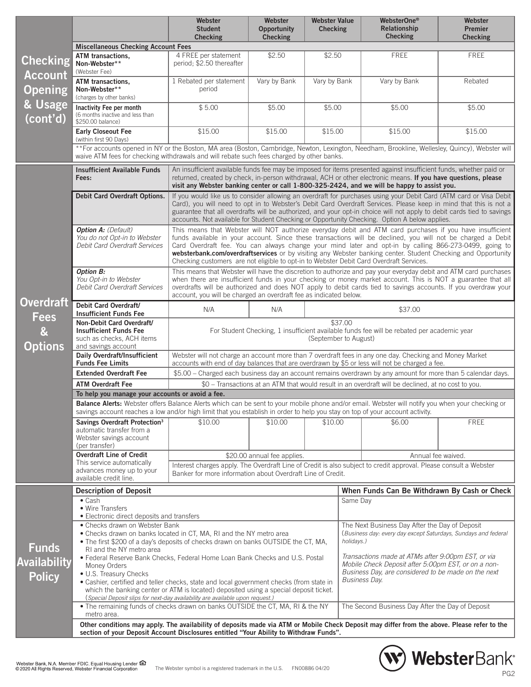|                                         |                                                                                                                                                                                                                                                                                                                                                                                      | Webster<br><b>Student</b>                                                                                                                                                                                                                                                                                                                                                                                                                                                                                                                      | Webster<br><b>Opportunity</b> | <b>Webster Value</b><br><b>Checking</b>      |                    | WebsterOne <sup>®</sup><br>Relationship                                                                                                                                                  | Webster<br><b>Premier</b> |  |  |  |
|-----------------------------------------|--------------------------------------------------------------------------------------------------------------------------------------------------------------------------------------------------------------------------------------------------------------------------------------------------------------------------------------------------------------------------------------|------------------------------------------------------------------------------------------------------------------------------------------------------------------------------------------------------------------------------------------------------------------------------------------------------------------------------------------------------------------------------------------------------------------------------------------------------------------------------------------------------------------------------------------------|-------------------------------|----------------------------------------------|--------------------|------------------------------------------------------------------------------------------------------------------------------------------------------------------------------------------|---------------------------|--|--|--|
|                                         |                                                                                                                                                                                                                                                                                                                                                                                      | <b>Checking</b>                                                                                                                                                                                                                                                                                                                                                                                                                                                                                                                                | <b>Checking</b>               |                                              |                    | <b>Checking</b>                                                                                                                                                                          | <b>Checking</b>           |  |  |  |
|                                         | <b>Miscellaneous Checking Account Fees</b>                                                                                                                                                                                                                                                                                                                                           |                                                                                                                                                                                                                                                                                                                                                                                                                                                                                                                                                |                               |                                              |                    |                                                                                                                                                                                          |                           |  |  |  |
| <b>Checking</b>                         | ATM transactions,<br>Non-Webster**<br>(Webster Fee)                                                                                                                                                                                                                                                                                                                                  | 4 FREE per statement<br>period; \$2.50 thereafter                                                                                                                                                                                                                                                                                                                                                                                                                                                                                              | \$2.50                        | \$2.50                                       |                    | <b>FREE</b>                                                                                                                                                                              | <b>FREE</b>               |  |  |  |
| <b>Account</b><br><b>Opening</b>        | ATM transactions,<br>Non-Webster**<br>(charges by other banks)                                                                                                                                                                                                                                                                                                                       | 1 Rebated per statement<br>period                                                                                                                                                                                                                                                                                                                                                                                                                                                                                                              | Vary by Bank                  | Vary by Bank                                 |                    | Vary by Bank                                                                                                                                                                             | Rebated                   |  |  |  |
| & Usage<br>(cont'd)                     | Inactivity Fee per month<br>(6 months inactive and less than<br>\$250.00 balance)                                                                                                                                                                                                                                                                                                    | \$5.00                                                                                                                                                                                                                                                                                                                                                                                                                                                                                                                                         | \$5.00                        | \$5.00                                       |                    | \$5.00                                                                                                                                                                                   | \$5.00                    |  |  |  |
|                                         | <b>Early Closeout Fee</b><br>(within first 90 Days)                                                                                                                                                                                                                                                                                                                                  | \$15.00                                                                                                                                                                                                                                                                                                                                                                                                                                                                                                                                        | \$15.00                       | \$15.00                                      |                    | \$15.00                                                                                                                                                                                  | \$15.00                   |  |  |  |
|                                         |                                                                                                                                                                                                                                                                                                                                                                                      | **For accounts opened in NY or the Boston, MA area (Boston, Cambridge, Newton, Lexington, Needham, Brookline, Wellesley, Quincy), Webster will<br>waive ATM fees for checking withdrawals and will rebate such fees charged by other banks.                                                                                                                                                                                                                                                                                                    |                               |                                              |                    |                                                                                                                                                                                          |                           |  |  |  |
|                                         | An insufficient available funds fee may be imposed for items presented against insufficient funds, whether paid or<br><b>Insufficient Available Funds</b><br>returned, created by check, in-person withdrawal, ACH or other electronic means. If you have questions, please<br>Fees:<br>visit any Webster banking center or call 1-800-325-2424, and we will be happy to assist you. |                                                                                                                                                                                                                                                                                                                                                                                                                                                                                                                                                |                               |                                              |                    |                                                                                                                                                                                          |                           |  |  |  |
|                                         | Debit Card Overdraft Options.                                                                                                                                                                                                                                                                                                                                                        | If you would like us to consider allowing an overdraft for purchases using your Debit Card (ATM card or Visa Debit<br>Card), you will need to opt in to Webster's Debit Card Overdraft Services. Please keep in mind that this is not a<br>guarantee that all overdrafts will be authorized, and your opt-in choice will not apply to debit cards tied to savings<br>accounts. Not available for Student Checking or Opportunity Checking. Option A below applies.                                                                             |                               |                                              |                    |                                                                                                                                                                                          |                           |  |  |  |
|                                         | <b>Option A: (Default)</b><br>You do not Opt-in to Webster<br>Debit Card Overdraft Services                                                                                                                                                                                                                                                                                          | This means that Webster will NOT authorize everyday debit and ATM card purchases if you have insufficient<br>funds available in your account. Since these transactions will be declined, you will not be charged a Debit<br>Card Overdraft fee. You can always change your mind later and opt-in by calling 866-273-0499, going to<br>websterbank.com/overdraftservices or by visiting any Webster banking center. Student Checking and Opportunity<br>Checking customers are not eligible to opt-in to Webster Debit Card Overdraft Services. |                               |                                              |                    |                                                                                                                                                                                          |                           |  |  |  |
|                                         | <b>Option B:</b><br>You Opt-in to Webster<br>Debit Card Overdraft Services                                                                                                                                                                                                                                                                                                           | This means that Webster will have the discretion to authorize and pay your everyday debit and ATM card purchases<br>when there are insufficient funds in your checking or money market account. This is NOT a guarantee that all<br>overdrafts will be authorized and does NOT apply to debit cards tied to savings accounts. If you overdraw your<br>account, you will be charged an overdraft fee as indicated below.                                                                                                                        |                               |                                              |                    |                                                                                                                                                                                          |                           |  |  |  |
| <b>Overdraft</b><br><b>Fees</b>         | Debit Card Overdraft/<br>N/A<br>N/A<br><b>Insufficient Funds Fee</b>                                                                                                                                                                                                                                                                                                                 |                                                                                                                                                                                                                                                                                                                                                                                                                                                                                                                                                |                               |                                              | \$37.00            |                                                                                                                                                                                          |                           |  |  |  |
| $\boldsymbol{\alpha}$<br><b>Options</b> | Non-Debit Card Overdraft/<br><b>Insufficient Funds Fee</b><br>such as checks, ACH items<br>and savings account                                                                                                                                                                                                                                                                       | \$37.00<br>For Student Checking, 1 insufficient available funds fee will be rebated per academic year<br>(September to August)                                                                                                                                                                                                                                                                                                                                                                                                                 |                               |                                              |                    |                                                                                                                                                                                          |                           |  |  |  |
|                                         | Daily Overdraft/Insufficient<br><b>Funds Fee Limits</b>                                                                                                                                                                                                                                                                                                                              | Webster will not charge an account more than 7 overdraft fees in any one day. Checking and Money Market<br>accounts with end of day balances that are overdrawn by \$5 or less will not be charged a fee.                                                                                                                                                                                                                                                                                                                                      |                               |                                              |                    |                                                                                                                                                                                          |                           |  |  |  |
|                                         | <b>Extended Overdraft Fee</b>                                                                                                                                                                                                                                                                                                                                                        | \$5.00 - Charged each business day an account remains overdrawn by any amount for more than 5 calendar days.                                                                                                                                                                                                                                                                                                                                                                                                                                   |                               |                                              |                    |                                                                                                                                                                                          |                           |  |  |  |
|                                         | <b>ATM Overdraft Fee</b><br>\$0 - Transactions at an ATM that would result in an overdraft will be declined, at no cost to you.                                                                                                                                                                                                                                                      |                                                                                                                                                                                                                                                                                                                                                                                                                                                                                                                                                |                               |                                              |                    |                                                                                                                                                                                          |                           |  |  |  |
|                                         | To help you manage your accounts or avoid a fee.                                                                                                                                                                                                                                                                                                                                     |                                                                                                                                                                                                                                                                                                                                                                                                                                                                                                                                                |                               |                                              |                    |                                                                                                                                                                                          |                           |  |  |  |
|                                         | Balance Alerts: Webster offers Balance Alerts which can be sent to your mobile phone and/or email. Webster will notify you when your checking or<br>savings account reaches a low and/or high limit that you establish in order to help you stay on top of your account activity.                                                                                                    |                                                                                                                                                                                                                                                                                                                                                                                                                                                                                                                                                |                               |                                              |                    |                                                                                                                                                                                          |                           |  |  |  |
|                                         | Savings Overdraft Protection <sup>3</sup>                                                                                                                                                                                                                                                                                                                                            | \$10.00                                                                                                                                                                                                                                                                                                                                                                                                                                                                                                                                        | \$10.00                       | \$10.00                                      |                    | \$6.00                                                                                                                                                                                   | <b>FREE</b>               |  |  |  |
|                                         | automatic transfer from a<br>Webster savings account<br>(per transfer)                                                                                                                                                                                                                                                                                                               |                                                                                                                                                                                                                                                                                                                                                                                                                                                                                                                                                |                               |                                              |                    |                                                                                                                                                                                          |                           |  |  |  |
|                                         | <b>Overdraft Line of Credit</b>                                                                                                                                                                                                                                                                                                                                                      |                                                                                                                                                                                                                                                                                                                                                                                                                                                                                                                                                | \$20.00 annual fee applies.   |                                              | Annual fee waived. |                                                                                                                                                                                          |                           |  |  |  |
|                                         | This service automatically<br>advances money up to your<br>available credit line.                                                                                                                                                                                                                                                                                                    | Interest charges apply. The Overdraft Line of Credit is also subject to credit approval. Please consult a Webster<br>Banker for more information about Overdraft Line of Credit.                                                                                                                                                                                                                                                                                                                                                               |                               |                                              |                    |                                                                                                                                                                                          |                           |  |  |  |
|                                         | <b>Description of Deposit</b>                                                                                                                                                                                                                                                                                                                                                        |                                                                                                                                                                                                                                                                                                                                                                                                                                                                                                                                                |                               | When Funds Can Be Withdrawn By Cash or Check |                    |                                                                                                                                                                                          |                           |  |  |  |
|                                         | $\bullet$ Cash<br>• Wire Transfers<br>• Electronic direct deposits and transfers                                                                                                                                                                                                                                                                                                     |                                                                                                                                                                                                                                                                                                                                                                                                                                                                                                                                                |                               |                                              |                    | Same Day                                                                                                                                                                                 |                           |  |  |  |
| <b>Funds</b>                            | • Checks drawn on Webster Bank<br>• Checks drawn on banks located in CT, MA, RI and the NY metro area<br>• The first \$200 of a day's deposits of checks drawn on banks OUTSIDE the CT, MA,<br>RI and the NY metro area                                                                                                                                                              |                                                                                                                                                                                                                                                                                                                                                                                                                                                                                                                                                |                               |                                              |                    | The Next Business Day After the Day of Deposit<br>(Business day: every day except Saturdays, Sundays and federal<br>holidays.)                                                           |                           |  |  |  |
| <b>Availability</b>                     | • Federal Reserve Bank Checks, Federal Home Loan Bank Checks and U.S. Postal<br>Money Orders<br>• U.S. Treasury Checks                                                                                                                                                                                                                                                               |                                                                                                                                                                                                                                                                                                                                                                                                                                                                                                                                                |                               |                                              |                    | Transactions made at ATMs after 9:00pm EST, or via<br>Mobile Check Deposit after 5:00pm EST, or on a non-<br>Business Day, are considered to be made on the next<br><b>Business Day.</b> |                           |  |  |  |
| <b>Policy</b>                           | • Cashier, certified and teller checks, state and local government checks (from state in<br>which the banking center or ATM is located) deposited using a special deposit ticket.<br>(Special Deposit slips for next-day availability are available upon request.)                                                                                                                   |                                                                                                                                                                                                                                                                                                                                                                                                                                                                                                                                                |                               |                                              |                    |                                                                                                                                                                                          |                           |  |  |  |
|                                         | . The remaining funds of checks drawn on banks OUTSIDE the CT, MA, RI & the NY<br>metro area.                                                                                                                                                                                                                                                                                        |                                                                                                                                                                                                                                                                                                                                                                                                                                                                                                                                                |                               |                                              |                    | The Second Business Day After the Day of Deposit                                                                                                                                         |                           |  |  |  |
|                                         | Other conditions may apply. The availability of deposits made via ATM or Mobile Check Deposit may differ from the above. Please refer to the<br>section of your Deposit Account Disclosures entitled "Your Ability to Withdraw Funds".                                                                                                                                               |                                                                                                                                                                                                                                                                                                                                                                                                                                                                                                                                                |                               |                                              |                    |                                                                                                                                                                                          |                           |  |  |  |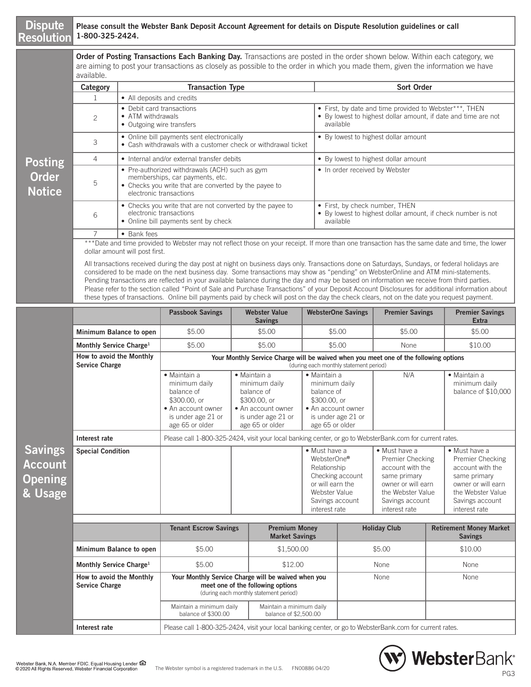#### **Dispute Resolution**

**Sav** Acc **Ope & Usage** 

#### **Please consult the Webster Bank Deposit Account Agreement for details on Dispute Resolution guidelines or call 1-800-325-2424.**

**Order of Posting Transactions Each Banking Day.** Transactions are posted in the order shown below. Within each category, we are aiming to post your transactions as closely as possible to the order in which you made them, given the information we have available.

|                               | Category       | <b>Transaction Type</b>                                                                                                                                               | <b>Sort Order</b>                                                                                                                     |  |  |  |  |  |  |  |
|-------------------------------|----------------|-----------------------------------------------------------------------------------------------------------------------------------------------------------------------|---------------------------------------------------------------------------------------------------------------------------------------|--|--|--|--|--|--|--|
|                               |                | • All deposits and credits                                                                                                                                            |                                                                                                                                       |  |  |  |  |  |  |  |
|                               | $\mathfrak{D}$ | • Debit card transactions<br>• ATM withdrawals<br>• Outgoing wire transfers                                                                                           | • First, by date and time provided to Webster***, THEN<br>• By lowest to highest dollar amount, if date and time are not<br>available |  |  |  |  |  |  |  |
|                               | 3              | • Online bill payments sent electronically<br>• Cash withdrawals with a customer check or withdrawal ticket                                                           | • By lowest to highest dollar amount                                                                                                  |  |  |  |  |  |  |  |
| <b>Posting</b>                | 4              | • Internal and/or external transfer debits                                                                                                                            | • By lowest to highest dollar amount                                                                                                  |  |  |  |  |  |  |  |
| <b>Order</b><br><b>Notice</b> | 5              | • Pre-authorized withdrawals (ACH) such as gym<br>memberships, car payments, etc.<br>• Checks you write that are converted by the payee to<br>electronic transactions | • In order received by Webster                                                                                                        |  |  |  |  |  |  |  |
|                               | 6              | • Checks you write that are not converted by the payee to<br>electronic transactions<br>• Online bill payments sent by check                                          | • First, by check number, THEN<br>• By lowest to highest dollar amount, if check number is not<br>available                           |  |  |  |  |  |  |  |
|                               |                | • Bank fees                                                                                                                                                           |                                                                                                                                       |  |  |  |  |  |  |  |
|                               |                |                                                                                                                                                                       |                                                                                                                                       |  |  |  |  |  |  |  |

\*\*\*Date and time provided to Webster may not reflect those on your receipt. If more than one transaction has the same date and time, the lower dollar amount will post first.

All transactions received during the day post at night on business days only. Transactions done on Saturdays, Sundays, or federal holidays are considered to be made on the next business day. Some transactions may show as "pending" on WebsterOnline and ATM mini-statements. Pending transactions are reflected in your available balance during the day and may be based on information we receive from third parties. Please refer to the section called "Point of Sale and Purchase Transactions" of your Deposit Account Disclosures for additional information about these types of transactions. Online bill payments paid by check will post on the day the check clears, not on the date you request payment.

|                                     |                                                   | <b>Passbook Savings</b>                                                                                                    |                                                                                                                                    | <b>Webster Value</b><br><b>Savings</b>                                                                                                    |                                                                                                                            | <b>WebsterOne Savings</b>                                                                                                       | <b>Premier Savings</b>                                                                                                                               |                                                  | <b>Premier Savings</b><br><b>Extra</b>                                                                                                               |
|-------------------------------------|---------------------------------------------------|----------------------------------------------------------------------------------------------------------------------------|------------------------------------------------------------------------------------------------------------------------------------|-------------------------------------------------------------------------------------------------------------------------------------------|----------------------------------------------------------------------------------------------------------------------------|---------------------------------------------------------------------------------------------------------------------------------|------------------------------------------------------------------------------------------------------------------------------------------------------|--------------------------------------------------|------------------------------------------------------------------------------------------------------------------------------------------------------|
|                                     | Minimum Balance to open                           | \$5.00                                                                                                                     |                                                                                                                                    | \$5.00                                                                                                                                    |                                                                                                                            | \$5.00                                                                                                                          | \$5.00                                                                                                                                               |                                                  | \$5.00                                                                                                                                               |
|                                     | Monthly Service Charge <sup>1</sup>               | \$5.00                                                                                                                     |                                                                                                                                    | \$5.00                                                                                                                                    |                                                                                                                            | \$5.00                                                                                                                          | None                                                                                                                                                 |                                                  | \$10.00                                                                                                                                              |
|                                     | How to avoid the Monthly<br><b>Service Charge</b> |                                                                                                                            |                                                                                                                                    |                                                                                                                                           |                                                                                                                            | Your Monthly Service Charge will be waived when you meet one of the following options<br>(during each monthly statement period) |                                                                                                                                                      |                                                  |                                                                                                                                                      |
|                                     |                                                   | • Maintain a<br>minimum daily<br>balance of<br>\$300.00, or<br>• An account owner<br>is under age 21 or<br>age 65 or older | • Maintain a<br>minimum daily<br>balance of<br>\$300.00, or<br>• An account owner<br>is under age 21 or<br>age 65 or older         |                                                                                                                                           | • Maintain a<br>minimum daily<br>balance of<br>\$300,00, or<br>• An account owner<br>is under age 21 or<br>age 65 or older |                                                                                                                                 | N/A                                                                                                                                                  |                                                  | $\bullet$ Maintain a<br>minimum daily<br>balance of \$10,000                                                                                         |
|                                     | Interest rate                                     | Please call 1-800-325-2424, visit your local banking center, or go to WebsterBank.com for current rates.                   |                                                                                                                                    |                                                                                                                                           |                                                                                                                            |                                                                                                                                 |                                                                                                                                                      |                                                  |                                                                                                                                                      |
| <b>ings</b><br>bunt<br>ning<br>sage | <b>Special Condition</b>                          |                                                                                                                            |                                                                                                                                    | • Must have a<br>WebsterOne®<br>Relationship<br>Checking account<br>or will earn the<br>Webster Value<br>Savings account<br>interest rate |                                                                                                                            |                                                                                                                                 | • Must have a<br>Premier Checking<br>account with the<br>same primary<br>owner or will earn<br>the Webster Value<br>Savings account<br>interest rate |                                                  | • Must have a<br>Premier Checking<br>account with the<br>same primary<br>owner or will earn<br>the Webster Value<br>Savings account<br>interest rate |
|                                     |                                                   | <b>Tenant Escrow Savings</b>                                                                                               |                                                                                                                                    | <b>Premium Money</b><br><b>Market Savings</b>                                                                                             |                                                                                                                            | <b>Holiday Club</b>                                                                                                             |                                                                                                                                                      | <b>Retirement Money Market</b><br><b>Savings</b> |                                                                                                                                                      |
|                                     | Minimum Balance to open                           | \$5.00                                                                                                                     |                                                                                                                                    | \$1,500.00                                                                                                                                |                                                                                                                            | \$5.00                                                                                                                          |                                                                                                                                                      | \$10.00                                          |                                                                                                                                                      |
|                                     | Monthly Service Charge <sup>1</sup>               | \$5.00                                                                                                                     |                                                                                                                                    | \$12.00                                                                                                                                   |                                                                                                                            | <b>None</b>                                                                                                                     |                                                                                                                                                      | None                                             |                                                                                                                                                      |
|                                     | How to avoid the Monthly<br><b>Service Charge</b> |                                                                                                                            | Your Monthly Service Charge will be waived when you<br>meet one of the following options<br>(during each monthly statement period) |                                                                                                                                           |                                                                                                                            |                                                                                                                                 | None                                                                                                                                                 |                                                  | None                                                                                                                                                 |
|                                     |                                                   | Maintain a minimum daily                                                                                                   |                                                                                                                                    | Maintain a minimum daily                                                                                                                  |                                                                                                                            |                                                                                                                                 |                                                                                                                                                      |                                                  |                                                                                                                                                      |

balance of \$2,500.00

**Interest rate** Please call 1-800-325-2424, visit your local banking center, or go to WebsterBank.com for current rates.

balance of \$300.00

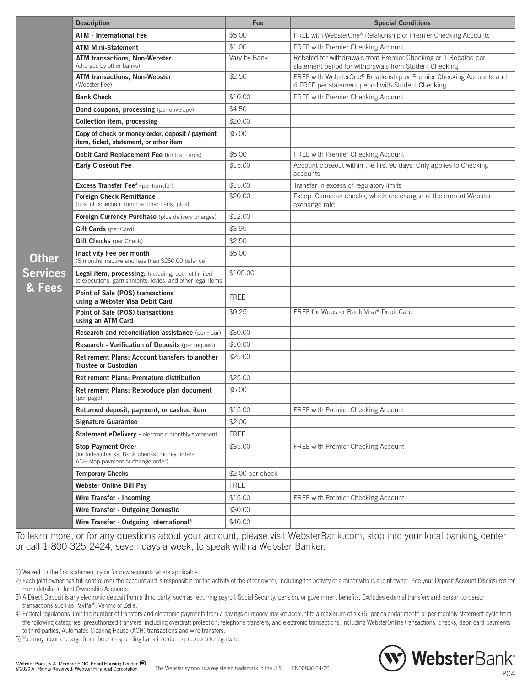|   | <b>Description</b>                                                                                               | Fee              | <b>Special Conditions</b>                                                                                                |
|---|------------------------------------------------------------------------------------------------------------------|------------------|--------------------------------------------------------------------------------------------------------------------------|
|   | <b>ATM - International Fee</b>                                                                                   | \$5.00           | FREE with WebsterOne® Relationship or Premier Checking Accounts                                                          |
|   | <b>ATM Mini-Statement</b>                                                                                        | \$1.00           | FREE with Premier Checking Account                                                                                       |
|   | ATM transactions, Non-Webster<br>(charges by other banks)                                                        | Vary by Bank     | Rebated for withdrawals from Premier Checking or 1 Rebated per<br>statement period for withdrawals from Student Checking |
|   | <b>ATM transactions, Non-Webster</b><br>(Webster Fee)                                                            | \$2.50           | FREE with WebsterOne® Relationship or Premier Checking Accounts and<br>4 FREE per statement period with Student Checking |
|   | <b>Bank Check</b>                                                                                                | \$10.00          | FREE with Premier Checking Account                                                                                       |
|   | <b>Bond coupons, processing</b> (per envelope)                                                                   | \$4.50           |                                                                                                                          |
|   | Collection item, processing                                                                                      | \$20.00          |                                                                                                                          |
|   | Copy of check or money order, deposit / payment<br>item, ticket, statement, or other item                        | \$5.00           |                                                                                                                          |
|   | Debit Card Replacement Fee (for lost cards)                                                                      | \$5.00           | FREE with Premier Checking Account                                                                                       |
|   | <b>Early Closeout Fee</b>                                                                                        | \$15.00          | Account closeout within the first 90 days; Only applies to Checking<br>accounts                                          |
|   | <b>Excess Transfer Fee<sup>4</sup></b> (per transfer)                                                            | \$15.00          | Transfer in excess of regulatory limits                                                                                  |
|   | <b>Foreign Check Remittance</b><br>(cost of collection from the other bank, plus)                                | \$20.00          | Except Canadian checks, which are charged at the current Webster<br>exchange rate                                        |
|   | Foreign Currency Purchase (plus delivery charges)                                                                | \$12.00          |                                                                                                                          |
|   | Gift Cards (per Card)                                                                                            | \$3.95           |                                                                                                                          |
|   | <b>Gift Checks</b> (per Check)                                                                                   | \$2.50           |                                                                                                                          |
|   | Inactivity Fee per month<br>(6 months inactive and less than \$250.00 balance)                                   | \$5.00           |                                                                                                                          |
| S | Legal item, processing: Including, but not limited<br>to executions, garnishments, levies, and other legal items | \$100.00         |                                                                                                                          |
| 3 | Point of Sale (POS) transactions<br>using a Webster Visa Debit Card                                              | <b>FREE</b>      |                                                                                                                          |
|   | Point of Sale (POS) transactions<br>using an ATM Card                                                            | \$0.25           | FREE for Webster Bank Visa® Debit Card                                                                                   |
|   | Research and reconciliation assistance (per hour)                                                                | \$30.00          |                                                                                                                          |
|   | Research - Verification of Deposits (per request)                                                                | \$10.00          |                                                                                                                          |
|   | Retirement Plans: Account transfers to another<br><b>Trustee or Custodian</b>                                    | \$25.00          |                                                                                                                          |
|   | <b>Retirement Plans: Premature distribution</b>                                                                  | \$25.00          |                                                                                                                          |
|   | Retirement Plans: Reproduce plan document<br>(per page)                                                          | \$5.00           |                                                                                                                          |
|   | Returned deposit, payment, or cashed item                                                                        | \$15.00          | <b>FREE with Premier Checking Account</b>                                                                                |
|   | <b>Signature Guarantee</b>                                                                                       | \$2.00           |                                                                                                                          |
|   | Statement eDelivery - electronic monthly statement                                                               | <b>FREE</b>      |                                                                                                                          |
|   | <b>Stop Payment Order</b><br>(includes checks, Bank checks, money orders,<br>ACH stop payment or change order)   | \$35.00          | FREE with Premier Checking Account                                                                                       |
|   | <b>Temporary Checks</b>                                                                                          | \$2.00 per check |                                                                                                                          |
|   | <b>Webster Online Bill Pay</b>                                                                                   | <b>FREE</b>      |                                                                                                                          |
|   | Wire Transfer - Incoming                                                                                         | \$15.00          | <b>FREE with Premier Checking Account</b>                                                                                |
|   | Wire Transfer - Outgoing Domestic                                                                                | \$30.00          |                                                                                                                          |
|   | Wire Transfer - Outgoing International <sup>5</sup>                                                              | \$40.00          |                                                                                                                          |

To learn more, or for any questions about your account, please visit WebsterBank.com, stop into your local banking center or call 1-800-325-2424, seven days a week, to speak with a Webster Banker.

**Other Service & Fees**

4) Federal regulations limit the number of transfers and electronic payments from a savings or money market account to a maximum of six (6) per calendar month or per monthly statement cycle from the following categories: preauthorized transfers, including overdraft protection; telephone transfers; and electronic transactions, including WebsterOnline transactions, checks, debit card payments to third parties, Automated Clearing House (ACH) transactions and wire transfers.

5) You may incur a charge from the corresponding bank in order to process a foreign wire.



<sup>1)</sup> Waived for the first statement cycle for new accounts where applicable.

<sup>2)</sup> Each joint owner has full control over the account and is responsible for the activity of the other owner, including the activity of a minor who is a joint owner. See your Deposit Account Disclosures for more details on Joint Ownership Accounts.

<sup>3)</sup> A Direct Deposit is any electronic deposit from a third party, such as recurring payroll, Social Security, pension, or government benefits. Excludes external transfers and person-to-person transactions such as PayPal®, Venmo or Zelle.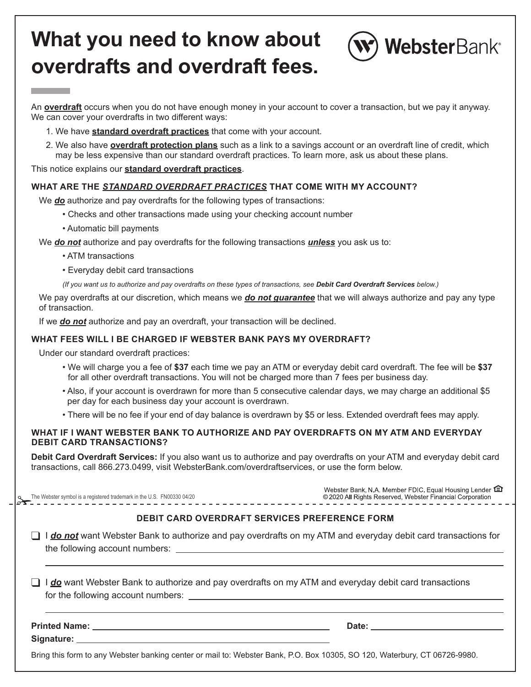# **What you need to know about overdrafts and overdraft fees.**



An **overdraft** occurs when you do not have enough money in your account to cover a transaction, but we pay it anyway. We can cover your overdrafts in two different ways:

- 1. We have **standard overdraft practices** that come with your account.
- 2. We also have **overdraft protection plans** such as a link to a savings account or an overdraft line of credit, which may be less expensive than our standard overdraft practices. To learn more, ask us about these plans.

This notice explains our **standard overdraft practices**.

#### **WHAT ARE THE** *STANDARD OVERDRAFT PRACTICES* **THAT COME WITH MY ACCOUNT?**

We *do* authorize and pay overdrafts for the following types of transactions:

- Checks and other transactions made using your checking account number
- Automatic bill payments

We *do not* authorize and pay overdrafts for the following transactions *unless* you ask us to:

• ATM transactions

• Everyday debit card transactions

*(If you want us to authorize and pay overdrafts on these types of transactions, see Debit Card Overdraft Services below.)*

 We pay overdrafts at our discretion, which means we *do not guarantee* that we will always authorize and pay any type of transaction.

If we *do not* authorize and pay an overdraft, your transaction will be declined.

#### **WHAT FEES WILL I BE CHARGED IF WEBSTER BANK PAYS MY OVERDRAFT?**

Under our standard overdraft practices:

- We will charge you a fee of **\$37** each time we pay an ATM or everyday debit card overdraft. The fee will be **\$37** for all other overdraft transactions. You will not be charged more than 7 fees per business day.
- Also, if your account is overdrawn for more than 5 consecutive calendar days, we may charge an additional \$5 per day for each business day your account is overdrawn.
- There will be no fee if your end of day balance is overdrawn by \$5 or less. Extended overdraft fees may apply.

#### **WHAT IF I WANT WEBSTER BANK TO AUTHORIZE AND PAY OVERDRAFTS ON MY ATM AND EVERYDAY DEBIT CARD TRANSACTIONS?**

**Debit Card Overdraft Services:** If you also want us to authorize and pay overdrafts on your ATM and everyday debit card transactions, call 866.273.0499, visit WebsterBank.com/overdraftservices, or use the form below.

|                                                                                                       |                                                                                                                           | Webster Bank, N.A. Member FDIC. Equal Housing Lender <b>C</b><br>© 2020 All Rights Reserved, Webster Financial Corporation |  |  |  |  |  |
|-------------------------------------------------------------------------------------------------------|---------------------------------------------------------------------------------------------------------------------------|----------------------------------------------------------------------------------------------------------------------------|--|--|--|--|--|
|                                                                                                       |                                                                                                                           | <b>DEBIT CARD OVERDRAFT SERVICES PREFERENCE FORM</b>                                                                       |  |  |  |  |  |
|                                                                                                       |                                                                                                                           | I do not want Webster Bank to authorize and pay overdrafts on my ATM and everyday debit card transactions for              |  |  |  |  |  |
| I do want Webster Bank to authorize and pay overdrafts on my ATM and everyday debit card transactions |                                                                                                                           |                                                                                                                            |  |  |  |  |  |
|                                                                                                       |                                                                                                                           |                                                                                                                            |  |  |  |  |  |
|                                                                                                       | Bring this form to any Webster banking center or mail to: Webster Bank, P.O. Box 10305, SO 120, Waterbury, CT 06726-9980. |                                                                                                                            |  |  |  |  |  |